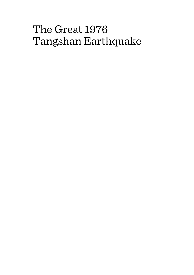# The Great 1976 Tangshan Earthquake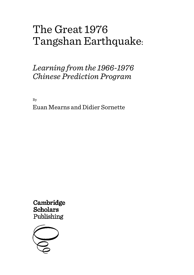# The Great 1976 Tangshan Earthquake:

# *Learning from the 1966-1976 Chinese Prediction Program*

By Euan Mearns and Didier Sornette

Cambridge **Scholars** Publishing

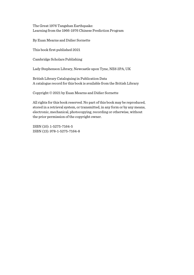The Great 1976 Tangshan Earthquake: Learning from the 1966-1976 Chinese Prediction Program

By Euan Mearns and Didier Sornette

This book first published 2021

Cambridge Scholars Publishing

Lady Stephenson Library, Newcastle upon Tyne, NE6 2PA, UK

British Library Cataloguing in Publication Data A catalogue record for this book is available from the British Library

Copyright © 2021 by Euan Mearns and Didier Sornette

All rights for this book reserved. No part of this book may be reproduced, stored in a retrieval system, or transmitted, in any form or by any means, electronic, mechanical, photocopying, recording or otherwise, without the prior permission of the copyright owner.

ISBN (10): 1-5275-7164-5 ISBN (13): 978-1-5275-7164-8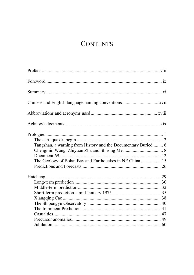# **CONTENTS**

| Chinese and English language naming conventions xvii          |  |
|---------------------------------------------------------------|--|
|                                                               |  |
|                                                               |  |
|                                                               |  |
|                                                               |  |
| Tangshan, a warning from History and the Documentary Buried 6 |  |
|                                                               |  |
|                                                               |  |
| The Geology of Bohai Bay and Earthquakes in NE China 15       |  |
|                                                               |  |
|                                                               |  |
|                                                               |  |
|                                                               |  |
|                                                               |  |
|                                                               |  |
|                                                               |  |
|                                                               |  |
|                                                               |  |
|                                                               |  |
|                                                               |  |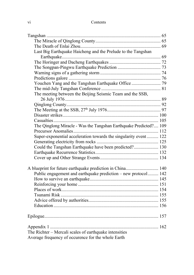| Last Big Earthquake Haicheng and the Prelude to the Tangshan      |  |
|-------------------------------------------------------------------|--|
|                                                                   |  |
|                                                                   |  |
|                                                                   |  |
|                                                                   |  |
|                                                                   |  |
| Youchen Yang and the Tangshan Earthquake Office  79               |  |
|                                                                   |  |
| The meeting between the Beijing Seismic Team and the SSB,         |  |
|                                                                   |  |
|                                                                   |  |
|                                                                   |  |
|                                                                   |  |
|                                                                   |  |
| The Qinglong Miracle - Was the Tangshan Earthquake Predicted? 109 |  |
|                                                                   |  |
| Super-exponential acceleration towards the singularity event 122  |  |
|                                                                   |  |
| Could the Tangshan Earthquake have been predicted? 130            |  |
|                                                                   |  |
|                                                                   |  |
| A blueprint for future earthquake prediction in China 140         |  |
| Public engagement and earthquake prediction - new protocol 142    |  |
|                                                                   |  |
|                                                                   |  |
|                                                                   |  |
|                                                                   |  |
|                                                                   |  |
|                                                                   |  |
|                                                                   |  |
|                                                                   |  |
| The Richter – Mercali scales of earthquake intensities            |  |
| Average frequency of occurence for the whole Earth                |  |
|                                                                   |  |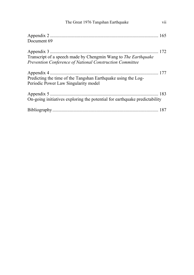| vii<br>The Great 1976 Tangshan Earthquake                                                                                  |  |
|----------------------------------------------------------------------------------------------------------------------------|--|
| Document 69                                                                                                                |  |
| Transcript of a speech made by Chengmin Wang to The Earthquake<br>Prevention Conference of National Construction Committee |  |
| Predicting the time of the Tangshan Earthquake using the Log-<br>Periodic Power Law Singularity model                      |  |
| On-going initiatives exploring the potential for earthquake predictability                                                 |  |
|                                                                                                                            |  |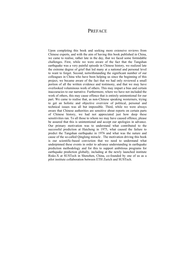## **PREFACE**

Upon completing this book and seeking more extensive reviews from Chinese experts, and with the aim of having this book published in China, we came to realise, rather late in the day, that we faced some formidable challenges. First, while we were aware of the fact that the Tangshan earthquake was a very painful episode in Chinese history, we realized late the extreme degree of grief that led many at a national and personal level to want to forget. Second, notwithstanding the significant number of our colleagues in China who have been helping us since the beginning of this project, we became aware of the fact that we had only reviewed a small portion of all the written evidence and testimony, and that we may have overlooked voluminous work of others. This may impart a bias and certain inaccuracies to our narrative. Furthermore, where we have not included the work of others, this may cause offence that is entirely unintentional for our part. We came to realise that, as non-Chinese speaking westerners, trying to get an holistic and objective overview of political, personal and technical issues was all but impossible. Third, while we were always aware that Chinese authorities are sensitive about reports on certain parts of Chinese history, we had not appreciated just how deep these sensitivities ran. To all those to whom we may have caused offence, please be assured that this is unintentional and accept our apologies in advance. Our primary motivation was to understand what contributed to the successful prediction at Haicheng in 1975, what caused the failure to predict the Tangshan earthquake in 1976 and what was the nature and cause of the so-called Qinglong miracle . The motivation driving this book is our scientific-based conviction that we need to understand what underpinned these events in order to advance understanding in earthquake prediction methodology and for this to support ambitious programs for earthquake prediction globally, including at the newly launched institute Risks-X at SUSTech in Shenzhen, China, co-founded by one of us as a pilot institute collaboration between ETH Zurich and SUSTech.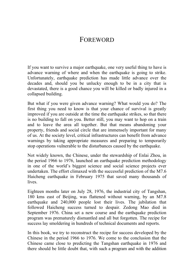## **FOREWORD**

If you want to survive a major earthquake, one very useful thing to have is advance warning of where and when the earthquake is going to strike. Unfortunately, earthquake prediction has made little advance over the decades and, should you be unlucky enough to be in a city that is devastated, there is a good chance you will be killed or badly injured in a collapsed building.

But what if you were given advance warning? What would you do? The first thing you need to know is that your chance of survival is greatly improved if you are outside at the time the earthquake strikes, so that there is no building to fall on you. Better still, you may want to hop on a train and to leave the area all together. But that means abandoning your property, friends and social circle that are immensely important for many of us. At the society level, critical infrastructures can benefit from advance warnings by taking appropriate measures and preparing to temporarily stop operations vulnerable to the disturbances caused by the earthquake.

Not widely known, the Chinese, under the stewardship of Enlai Zhou, in the period 1966 to 1976, launched an earthquake prediction methodology in one of the world's biggest science and social science projects ever undertaken. The effort climaxed with the successful prediction of the M7.6 Haicheng earthquake in February 1975 that saved many thousands of lives.

Eighteen months later on July 28, 1976, the industrial city of Tangshan, 180 kms east of Beijing, was flattened without warning, by an M7.8 earthquake and 240,000 people lost their lives. The jubilation that followed Haicheng success turned to despair. Zedong Mao died in September 1976. China set a new course and the earthquake prediction program was prematurely dismantled and all but forgotten. The recipe for success lay smoldering in hundreds of technical documents and reports.

In this book, we try to reconstruct the recipe for success developed by the Chinese in the period 1966 to 1976. We come to the conclusion that the Chinese came close to predicting the Tangshan earthquake in 1976 and there should be little doubt that, with such a program and with the addition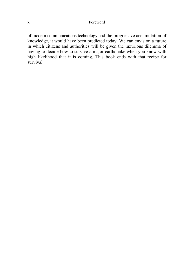of modern communications technology and the progressive accumulation of knowledge, it would have been predicted today. We can envision a future in which citizens and authorities will be given the luxurious dilemma of having to decide how to survive a major earthquake when you know with high likelihood that it is coming. This book ends with that recipe for survival.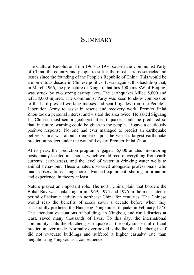### **SUMMARY**

The Cultural Revolution from 1966 to 1976 caused the Communist Party of China, the country and people to suffer the most serious setbacks and losses since the founding of the People's Republic of China. This would be a momentous decade in Chinese politics. It was against this backdrop that, in March 1966, the prefecture of Xingtai, that lies 400 kms SW of Beijing, was struck by two strong earthquakes. The earthquakes killed 8,000 and left 38,000 injured. The Communist Party was keen to show compassion to the hard pressed working masses and sent brigades from the People's Liberation Army to assist in rescue and recovery work. Premier Enlai Zhou took a personal interest and visited the area twice. He asked Siguang Li, China's most senior geologist, if earthquakes could be predicted so that, in future, warning could be given to the people. Li gave a cautiously positive response. No one had ever managed to predict an earthquake before. China was about to embark upon the world's largest earthquake prediction project under the watchful eye of Premier Enlai Zhou.

At its peak, the prediction program engaged 35,000 amateur monitoring posts, many located in schools, which would record everything from earth currents, earth stress, and the level of water in drinking water wells to animal behaviour. These amateurs worked alongside professionals who made observations using more advanced equipment, sharing information and experience, in theory at least.

Nature played an important role. The north China plain that borders the Bohai Bay was shaken again in 1969, 1975 and 1976 in the most intense period of seismic activity in northeast China for centuries. The Chinese would reap the benefits of seeds sown a decade before when they successfully predicted the Haicheng–Yingkou earthquake in February 1975. The attendant evacuations of buildings in Yingkou, and rural districts at least, saved many thousands of lives. To this day, the international community hails the Haicheng earthquake as the only successful official prediction ever made. Normally overlooked is the fact that Haicheng itself did not evacuate buildings and suffered a higher casualty rate than neighbouring Yingkou as a consequence.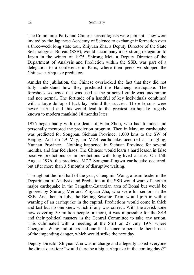#### xii Summary

The Communist Party and Chinese seismologists were jubilant. They were invited by the Japanese Academy of Science to exchange information over a three-week long state tour. Zhiyuan Zha, a Deputy Director of the State Seismological Bureau (SSB), would accompany a six strong delegation to Japan in the winter of 1975. Shirong Mei, a Deputy Director of the Department of Analysis and Prediction within the SSB, was part of a delegation to a conference in Paris, where their peers worshipped the Chinese earthquake predictors.

Amidst the jubilation, the Chinese overlooked the fact that they did not fully understand how they predicted the Haicheng earthquake. The foreshock sequence that was used as the principal guide was uncommon and not normal. The fortitude of a handful of key individuals combined with a large dollop of luck lay behind this success. These lessons were never learned and this would lead to the greatest earthquake tragedy known to modern mankind 18 months later.

1976 began badly with the death of Enlai Zhou, who had founded and personally mentored the prediction program. Then in May, an earthquake was predicted for Songpan, Sichuan Province, 1,000 kms to the SW of Beijing. And on 29 May, an M7.4 earthquake occurred at Longling, Yunnan Province. Nothing happened in Sichuan Province for several months, and fear fed chaos. The Chinese would learn a hard lesson in false positive predictions or in predictions with long-lived alarms. On 16th August 1976, the predicted M7.2 Songpan-Pingwu earthquake occurred, but after more than 3.5 months of disruptive waiting.

Throughout the first half of the year, Chengmin Wang, a team leader in the Department of Analysis and Prediction at the SSB would warn of another major earthquake in the Tangshan-Luanxian area of Bohai but would be ignored by Shirong Mei and Zhiyuan Zha, who were his seniors in the SSB. And then in July, the Beijing Seismic Team would join in with a warning of an earthquake in the capital. Predictions would come in thick and fast but no one knew which if any was correct. With the at-risk zone now covering 50 million people or more, it was impossible for the SSB and their political masters in the Central Committee to take any action. This culminated with a meeting at the SSB on 27 July 1976 where Chengmin Wang and others had one final chance to persuade their bosses of the impending danger, which would strike the next day.

Deputy Director Zhiyuan Zha was in charge and allegedly asked everyone the direct question: "would there be a big earthquake in the coming days?"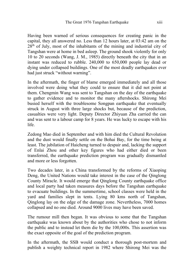Having been warned of serious consequences for creating panic in the capital, they all answered no. Less than 12 hours later, at 03:42 am on the  $28<sup>th</sup>$  of July, most of the inhabitants of the mining and industrial city of Tangshan were at home in bed asleep. The ground shook violently for only 10 to 20 seconds (Wang, J. M., 1985) directly beneath the city that in an instant was reduced to rubble. 240,000 to 650,000 people lay dead or dying under collapsed buildings. One of the most deadly earthquakes ever had just struck "without warning".

In the aftermath, the finger of blame emerged immediately and all those involved were doing what they could to ensure that it did not point at them. Chengmin Wang was sent to Tangshan on the day of the earthquake to gather evidence and to monitor the many aftershocks. Shirong Mei busied herself with the troublesome Songpan earthquake that eventually struck in August with three large shocks but, because of the prediction, casualties were very light. Deputy Director Zhiyuan Zha carried the can and was sent to a labour camp for 8 years. He was lucky to escape with his life.

Zedong Mao died in September and with him died the Cultural Revolution and the dust would finally settle on the Bohai Bay, for the time being at least. The jubilation of Haicheng turned to despair and, lacking the support of Enlai Zhou and other key figures who had either died or been transferred, the earthquake prediction program was gradually dismantled and more or less forgotten.

Two decades later, in a China transformed by the reforms of Xiaoping Deng, the United Nations would take interest in the case of the Qinglong County Miracle. It would emerge that Qinglong County earthquake office and local party had taken measures days before the Tangshan earthquake to evacuate buildings. In the summertime, school classes were held in the yard and families slept in tents. Lying 80 kms north of Tangshan, Qinglong lay on the edge of the damage zone. Nevertheless, 7000 homes collapsed and no one died. Around 9000 lives may have been saved.

The rumour mill then began. It was obvious to some that the Tangshan earthquake was known about by the authorities who chose to not inform the public and to instead let them die by the 100,000s. This assertion was the exact opposite of the goal of the prediction program.

In the aftermath, the SSB would conduct a thorough post-mortem and publish a weighty technical report in 1982 where Shirong Mei was the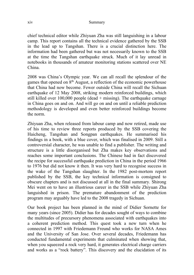chief technical editor while Zhiyuan Zha was still languishing in a labour camp. This report contains all the technical evidence gathered by the SSB in the lead up to Tangshan. There is a crucial distinction here. The information had been gathered but was not necessarily known to the SSB at the time the Tangshan earthquake struck. Much of it lay unread in notebooks in thousands of amateur monitoring stations scattered over NE China.

2008 was China's Olympic year. We can all recall the splendour of the games that opened on  $8<sup>th</sup>$  August, a reflection of the economic powerhouse that China had now become. Fewer outside China will recall the Sichuan earthquake of 12 May 2008, striking modern reinforced buildings, which still killed over  $100,000$  people (dead + missing). The earthquake carnage in China goes on and on. And will go on and on until a reliable prediction methodology is developed and even better reinforced buildings become the norm.

Zhiyuan Zha, when released from labour camp and now retired, made use of his time to review three reports produced by the SSB covering the Haicheng, Tangshan and Songpan earthquakes. He summarised his findings in a book, with a blue cover, which was finalised in 2009. Still a controversial character, he was unable to find a publisher. The writing and structure is a little disorganised but Zha makes key observations and reaches some important conclusions. The Chinese had in fact discovered the recipe for successful earthquake prediction in China in the period 1966 to 1976 but did not know it then. It was very hard to recognise success in the wake of the Tangshan slaughter. In the 1982 post-mortem report published by the SSB, the key technical information is consigned to obscure chapters and is not discussed at all in the final summary. Shirong Mei went on to have an illustrious career in the SSB while Zhiyuan Zha languished in prison. The premature abandonment of the prediction program may arguably have led to the 2008 tragedy in Sichuan.

Our book project has been planned in the mind of Didier Sornette for many years (since 2005). Didier has for decades sought of ways to combine the multitudes of precursory phenomena associated with earthquakes into a coherent prediction method. This quest took a new turn when he connected in 1997 with Friedemann Freund who works for NASA Ames and the University of San Jose. Over several decades, Friedemann has conducted fundamental experiments that culminated when showing that, when you squeezed a rock very hard, it generates electrical charge carriers and works as a "rock battery". This discovery and the elucidation of its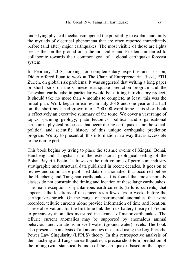underlying physical mechanism opened the possibility to explain and unify the myriads of electrical phenomena that are often reported immediately before (and after) major earthquakes. The most visible of those are lights seen either on the ground or in the air. Didier and Friedemann started to collaborate towards their common goal of a global earthquake forecast system.

In February 2018, looking for complementary expertise and passion, Didier offered Euan to work at The Chair of Entrepreneurial Risks, ETH Zurich, on global risk problems. It was suggested that writing a long paper or short book on the Chinese earthquake prediction program and the Tangshan earthquake in particular would be a fitting introductory project. It should take no more than 4 months to complete, at least, this was the initial plan. Work began in earnest in July 2018 and one year and a half on, the short book had grown into a 200,000-word tome. This short book is effectively an executive summary of the tome. We cover a vast range of topics spanning geology, plate tectonics, political and organisational structures, physical processes that occur during earthquakes and the social, political and scientific history of this unique earthquake prediction program. We try to present all this information in a way that is accessible to the non-expert.

This book begins by trying to place the seismic events of Xingtai, Bohai, Haicheng and Tangshan into the extensional geological setting of the Bohai Bay rift Basin. It draws on the rich volume of petroleum industry stratigraphic and structural data published in recent decades. It goes on to review and summarise published data on anomalies that occurred before the Haicheng and Tangshan earthquakes. It is found that most anomaly classes do not constrain the timing and location of these large earthquakes. The main exception is spantaneous earth currents (telluric currents) that appear at the locations of the epicentres a few days to weeks before the earthquakes struck. Of the range of instrumental anomalies that were recorded, telluric currents alone provide information of time and location. These observations for the first time link the rock battery theory of Freund to precursory anomalies measured in advance of major earthquakes. The telluric current anomalies may be supported by anomalous animal behaviour and variations in well water (ground water) levels. The book also presents an analysis of all anomalies measured using the Log-Periodic Power Law Singularity (LPPLS) theory. In this retrospective analysis of the Haicheng and Tangshan earthquakes, a precise short-term prediction of the timing (with statistical bounds) of the earthquakes based on the super-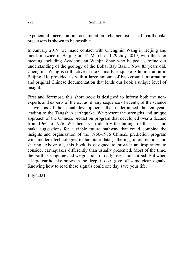#### xvi Summary

exponential acceleration accumulation characteristics of earthquake precursors is shown to be possible.

In January 2019, we made contact with Chengmin Wang in Beijing and met him twice in Beijing on 16 March and 29 July 2019, with the later meeting including Academician Wenjin Zhao who helped us refine our understanding of the geology of the Bohai Bay Basin. Now 85 years old, Chengmin Wang is still active in the China Earthquake Administration in Beijing. He provided us with a large amount of background information and original Chinese documentation that lends our book a unique level of insight.

First and foremost, this short book is designed to inform both the nonexperts and experts of the extraordinary sequence of events, of the science as well as of the social developments that underpinned the ten years leading to the Tangshan earthquake. We present the strengths and unique approach of the Chinese prediction program that developed over a decade from 1966 to 1976. We then try to identify the failings of the past and make suggestions for a viable future pathway that could combine the insights and organisation of the 1966-1976 Chinese prediction program with modern technologies to facilitate data gathering, interpretation and sharing. Above all, this book is designed to provide an inspiration to consider earthquakes differently than usually presented. Most of the time, the Earth is sanguine and we go about or daily lives undisturbed. But when a large earthquake brews in the deep, it does give off some clear signals. Knowing how to read these signals could one day save your life.

July 2021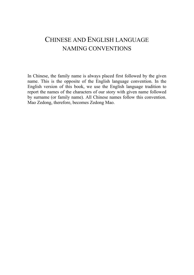# CHINESE AND ENGLISH LANGUAGE NAMING CONVENTIONS

In Chinese, the family name is always placed first followed by the given name. This is the opposite of the English language convention. In the English version of this book, we use the English language tradition to report the names of the characters of our story with given name followed by surname (or family name). All Chinese names follow this convention. Mao Zedong, therefore, becomes Zedong Mao.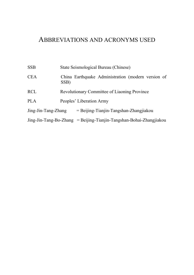# ABBREVIATIONS AND ACRONYMS USED

| SSB                                                                 |      |                          | State Seismological Bureau (Chinese)               |  |  |
|---------------------------------------------------------------------|------|--------------------------|----------------------------------------------------|--|--|
| CEA                                                                 | SSB) |                          | China Earthquake Administration (modern version of |  |  |
| RCL                                                                 |      |                          | Revolutionary Committee of Liaoning Province       |  |  |
| PLA                                                                 |      | Peoples' Liberation Army |                                                    |  |  |
| Jing-Jin-Tang-Zhang                                                 |      |                          | $=$ Beijing-Tianjin-Tangshan-Zhangjiakou           |  |  |
| Jing-Jin-Tang-Bo-Zhang = Beijing-Tianjin-Tangshan-Bohai-Zhangjiakou |      |                          |                                                    |  |  |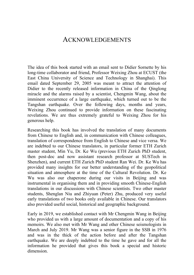### ACKNOWLEDGEMENTS

The idea of this book started with an email sent to Didier Sornette by his long-time collaborator and friend, Professor Weixing Zhou at ECUST (the East China University of Science and Technology in Shanghai). This email dated September 29, 2005 was meant to attract the attention of Didier to the recently released information in China of the Qinglong miracle and the alarms raised by a scientist, Chengmin Wang, about the imminent occurrence of a large earthquake, which turned out to be the Tangshan earthquake. Over the following days, months and years, Weixing Zhou continued to provide information on these fascinating revelations. We are thus extremely grateful to Weixing Zhou for his generous help.

Researching this book has involved the translation of many documents from Chinese to English and, in communication with Chinese colleagues, translation of correspondence from English to Chinese and vice versa. We are indebted to our Chinese translators, in particular former ETH Zurich master student, Min Yu, Dr. Ke Wu (previous ETH Zurich PhD student, then post-doc and now assistant research professor at SUSTech in Shenzhen), and current ETH Zurich PhD student Ran Wei. Dr. Ke Wu has provided many insights for our better understanding of the geopolitical situation and atmosphere at the time of the Cultural Revolution. Dr. Ke Wu was also our chaperone during our visits in Beijing and was instrumental in organising them and in providing smooth Chinese-English translations in our discussions with Chinese scientists. Two other master students, Shenglan Niu and Zhiyuan (Peter) Zhu, produced very useful early translations of two books only available in Chinese. Our translators also provided useful social, historical and geographic background.

Early in 2019, we established contact with Mr Chengmin Wang in Beijing who provided us with a large amount of documentation and a copy of his memoirs. We also met with Mr Wang and other Chinese seismologists in March and July 2019. Mr Wang was a senior figure in the SSB in 1976 and was in the thick of the action before and after the Tangshan earthquake. We are deeply indebted to the time he gave and for all the information he provided that gives this book a special and historic dimension.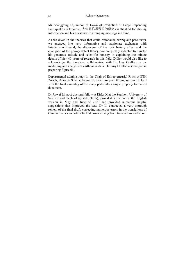Mr Shangyong Li, author of Dawn of Prediction of Large Impending Earthquake (in Chinese, 大地震临震预报的曙光) is thanked for sharing information and his assistance in arranging meetings in China.

As we dived in the theories that could rationalise earthquake precursors, we engaged into very informative and passionate exchanges with Friedemann Freund, the discoverer of the rock battery effect and the champion of the peroxy defect theory. We are greatly indebted to him for his generous attitude and scientific honesty in explaining the minute details of his ~40 years of research in this field. Didier would also like to acknowledge the long-term collaboration with Dr. Guy Ouillon on the modelling and analysis of earthquake data. Dr. Guy Ouillon also helped in preparing figure 66.

Departmental administrator in the Chair of Entrepreneurial Risks at ETH Zurich, Adriana Schellenbaum, provided support throughout and helped with the final assembly of the many parts into a single properly formatted document.

Dr Jiawei Li, post-doctoral fellow at Risks-X at the Southern University of Science and Technology (SUSTech), provided a review of the English version in May and June of 2020 and provided numerous helpful suggestions that improved the text. Dr Li conducted a very thorough review of the final draft, correcting numerous errors in the translations of Chinese names and other factual errors arising from translations and so on.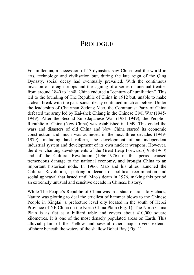## **PROLOGUE**

For millennia, a succession of 17 dynasties saw China lead the world in arts, technology and civilisation but, during the late reign of the Qing Dynasty, social decay had eventually prevailed. With the continuous invasion of foreign troops and the signing of a series of unequal treaties from around 1840 to 1948, China endured a "century of humiliation". This led to the founding of The Republic of China in 1912 but, unable to make a clean break with the past, social decay continued much as before. Under the leadership of Chairman Zedong Mao, the Communist Party of China defeated the army led by Kai-shek Chiang in the Chinese Civil War (1945- 1949). After the Second Sino-Japanese War (1931-1949), the People's Republic of China (New China) was established in 1949. This ended the wars and disasters of old China and New China started its economic construction and much was achieved in the next three decades (1949- 1979), including land reform, the development of an independent industrial system and development of its own nuclear weapons. However, the disenchanting developments of the Great Leap Forward (1958-1960) and of the Cultural Revolution (1966-1976) in this period caused tremendous damage to the national economy, and brought China to an important historical node. In 1966, Mao and his allies launched the Cultural Revolution, sparking a decade of political recrimination and social upheaval that lasted until Mao's death in 1976, making this period an extremely unusual and sensitive decade in Chinese history.

While The People's Republic of China was in a state of transitory chaos, Nature was plotting to deal the cruellest of hammer blows to the Chinese People in Xingtai, a prefecture level city located in the south of Hebei Province of NE China on the North China Plain (Fig. 1). The North China Plain is as flat as a billiard table and covers about 410,000 square kilometres. It is one of the most densely populated areas on Earth. This alluvial plain of the Yellow and several other major rivers extends offshore beneath the waters of the shallow Bohai Bay (Fig. 1).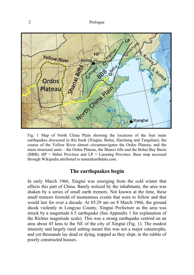

Fig. 1 Map of North China Plain showing the locations of the four main earthquakes discussed in this book (Xingtai, Bohai, Haicheng and Tangshan); the course of the Yellow River almost circumnavigates the Ordos Plateau; and the main structural units – the Ordos Plateau, the Shanxi rifts and the Bohai Bay Basin (BBB).  $HP = Hebei$  Province and  $LP = Liab$  Province. Base map accessed through Wikipedia attributed to naturalearthdata.com.

### **The earthquakes begin**

In early March 1966, Xingtai was emerging from the cold winter that affects this part of China. Barely noticed by the inhabitants, the area was shaken by a series of small earth tremors. Not known at the time, these small tremors foretold of momentous events that were to follow and that would last for over a decade. At 05:29 am on 8 March 1966, the ground shook violently in Longyao County, Xingtai Prefecture as the area was struck by a magnitude 6.5 earthquake (See Appendix 1 for explanation of the Richter magnitude scale). This was a strong earthquake centred on an area about 45 kms to the NE of the city of Xingtai (Fig. 1). The modest intensity and largely rural setting meant this was not a major catastrophe, and yet thousands lay dead or dying, trapped as they slept, in the rubble of poorly constructed houses.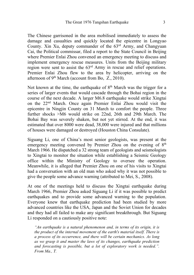The Chinese garrisoned in the area mobilised immediately to assess the damage and casualties and quickly located the epicentre in Longyao County. Xin Xu, deputy commander of the 63rd Army, and Changyuan Cai, the Political commissar, filed a report to the State Council in Beijing where Premier Enlai Zhou convened an emergency meeting to discuss and implement emergency rescue measures. Units from the Beijing military region were sent to assist the 63rd Army in rescue and relief operations. Premier Enlai Zhou flew to the area by helicopter, arriving on the afternoon of  $9<sup>th</sup> March$  (account from Bo, Z., 2010).

Not known at the time, the earthquake of  $8<sup>th</sup>$  March was the trigger for a series of larger events that would cascade through the Bohai region in the course of the next decade. A larger M6.8 earthquake would strike Xingtai on the 22nd March. Once again Premier Enlai Zhou would visit the epicentre in Ningjin County on 31 March to comfort the people. Three further shocks >M6 would strike on 22nd, 26th and 29th March. The Bohai Bay was severely shaken, but not yet stirred. At the end, it was estimated that over 8000 were dead, 38,000 were injured and that millions of houses were damaged or destroyed (Houston China Consulate).

Siguang Li, one of China's most senior geologists, was present at the emergency meeting convened by Premier Zhou on the evening of 8<sup>th</sup> March 1966. He dispatched a 32 strong team of geologists and seismologists to Xingtai to monitor the situation while establishing a Seismic Geology office within the Ministry of Geology to oversee the operation. Meanwhile, it is alleged that Premier Zhou on one of his visits to Xingtai had a conversation with an old man who asked why it was not possible to give the people some advance warning (attributed to Mei, S., 2008).

At one of the meetings held to discuss the Xingtai earthquake during March 1966, Premier Zhou asked Siguang Li if it was possible to predict earthquakes and to provide some advanced warning to the population. Everyone knew that earthquake prediction had been studied by more advanced countries like the USA, Japan and the Soviet Union for decades and they had all failed to make any significant breakthrough. But Siguang Li responded on a cautiously positive note:

*"An earthquake is a natural phenomenon and, in terms of its origin, it is the product of the internal movement of the earth's material itself. There is a process of its occurrence, and there will be certain mechanics. As long as we grasp it and master the laws of its changes, earthquake prediction and forecasting is possible, but a lot of exploratory work is needed.". From Ma., T.*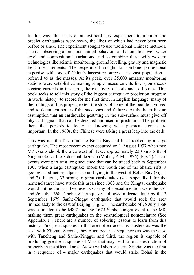#### 4 Prologue

In this way, the seeds of an extraordinary experiment to monitor and predict earthquakes were sown, the likes of which had never been seen before or since. The experiment sought to use traditional Chinese methods, such as observing anomalous animal behaviour and anomalous well water level and compositional variations, and to combine these with western technologies like seismic monitoring, ground levelling, gravity and magnetic field measurements. The experiment sought to combine professional expertise with one of China's largest resources – its vast population – referred to as the masses. At its peak, over 35,000 amateur monitoring stations were established making simple measurements like spontaneous electric currents in the earth, the resistivity of soils and soil stress. This book seeks to tell this story of the biggest earthquake prediction program in world history, to record for the first time, in English language, many of the findings of this project, to tell the story of some of the people involved and to document some of the successes and failures. At the heart lies an assumption that an earthquake gestating in the sub-surface must give off physical signals that can be detected and used in prediction. The problem then, that persists to today, is knowing what physical signals are important. In the 1960s, the Chinese were taking a great leap into the dark.

This was not the first time the Bohai Bay had been rocked by a large earthquake. The most recent events occurred on 1 August 1937 when two M7 events shook the area west of Heze, approximately 230 kms SSE of Xingtai (35.2 : 115.8 decimal degrees) (Muller, P. M., 1976) (Fig. 2). These events were part of a long sequence that can be traced back to September 1303 when a large earthquake shook the South end of the Shanxi rifts, a geological structure adjacent to and lying to the west of Bohai Bay (Fig. 1 and 2). In total, 37 strong to great earthquakes (see Appendix 1 for the nomenclature) have struck this area since 1303 and the Xingtai earthquake would not be the last. Two events worthy of special mention were the 25<sup>th</sup> and 26 July 1668 Tancheng earthquakes followed a decade later by the 2 September 1679 Sanhe-Pinggu earthquake that would rock the area immediately to the east of Beijing (Fig. 2). The earthquake of 25 July 1668 was estimated to be M8.7 and the 1679 Sanhe Pinggu event to be M8, making them great earthquakes in the seismological nomenclature (See Appendix 1). There are a number of sobering lessons to learn from this history. First, earthquakes in this area often occur as clusters as was the case with Xingtai. Second, they often occur as sequences as was the case with Tancheng and Sanhe-Pinggu, and third, the region is capable of producing great earthquakes of M>8 that may lead to total destruction of property in the affected area. As we will shortly learn, Xingtai was the first in a sequence of 4 major earthquakes that would strike Bohai in the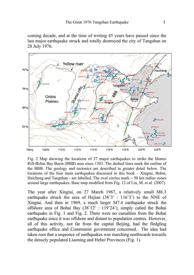coming decade, and at the time of writing 45 years have passed since the last major earthquake struck and totally destroyed the city of Tangshan on 28 July 1976.



Fig. 2 Map showing the locations of 37 major earthquakes to strike the Shanxi Rift-Bohai Bay Basin (BBB) area since 1303. The dashed lines mark the outline of the BBB. The geology and tectonics are described in greater detail below. The locations of the four main earthquakes discussed in this book – Xingtai, Bohai, Haicheng and Tangshan - are labelled. The oval circles mark  $\sim$  50 km radius zones around large earthquakes. Base map modified from Fig. 12 of Liu, M. et al. (2007).

The year after Xingtai, on 27 March 1967, a relatively small M6.3 earthquake struck the area of Hejian (38˚3' : 116˚3') to the NNE of Xingtai. And then in 1969, a much larger M7.4 earthquake struck the offshore area of Bohai Bay (38˚12' : 119˚24'), simply called the Bohai earthquake in Fig. 1 and Fig. 2. There were no casualties from the Bohai earthquake since it was offshore and distant to population centres. However, all of this activity, not far from the capital Beijing, had the fledgling earthquake office and Communist government concerned. The idea had taken root that a sequence of earthquakes was marching northwards towards the densely populated Liaoning and Hebei Provinces (Fig. 1).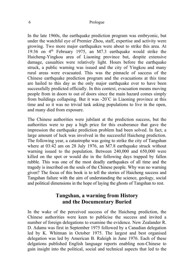In the late 1960s, the earthquake prediction program was embryonic, but under the watchful eye of Premier Zhou, staff, expertise and activity were growing. Two more major earthquakes were about to strike this area. At 19:36 on  $4<sup>th</sup>$  February 1975, an M7.3 earthquake would strike the Haicheng-Yingkou area of Liaoning province but, despite extensive damage, casualties were relatively light. Hours before the earthquake struck, a public warning was issued and the city of Yingkou and many rural areas were evacuated. This was the pinnacle of success of the Chinese earthquake prediction program and the evacuations at this time are hailed to this day as the only major earthquake ever to have been successfully predicted officially. In this context, evacuation means moving people from in doors to out of doors since the main hazard comes simply from buildings collapsing. But it was -20˚C in Liaoning province at this time and so it was no trivial task asking populations to live in the open, and many died from exposure.

The Chinese authorities were jubilant at the prediction success, but the authorities were to pay a high price for this exuberance that gave the impression the earthquake prediction problem had been solved. In fact, a large amount of luck was involved in the successful Haicheng prediction. The following year, a catastrophe was going to strike the city of Tangshan where at 03:42 am on 28 July 1976, an M7.8 earthquake struck without warning issued to the population. Between 240,000 and 650,000 were killed on the spot or would die in the following days trapped by fallen rubble. This was one of the most deadly earthquakes of all time and the tragedy is inscribed on the souls of the Chinese people. Why was no warning given? The focus of this book is to tell the stories of Haicheng success and Tangshan failure with the aim of understanding the science, geology, social and political dimensions in the hope of laying the ghosts of Tangshan to rest.

### **Tangshan, a warning from History and the Documentary Buried**

In the wake of the perceived success of the Haicheng prediction, the Chinese authorities were keen to publicise the success and invited a number of foreign delegations to examine the evidence. New Zealander R. D. Adams was first in September 1975 followed by a Canadian delegation led by K. Whitman in October 1975. The largest and best organised delegation was led by American B. Raleigh in June 1976. Each of these delgations published English language reports enabling non-Chinese to gain insight into the political, social and technical aspects that led to the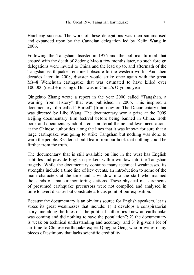Haicheng success. The work of these delegations was then summarised and expanded upon by the Canadian delegation led by Kelin Wang in 2006.

Following the Tangshan disaster in 1976 and the political turmoil that ensued with the death of Zedong Mao a few months later, no such foreign delegations were invited to China and the lead up to, and aftermath of the Tangshan earthquake, remained obscure to the western world. And then decades later, in 2008, disaster would strike once again with the great Ms~8 Wenchuan earthqauke that was estimated to have killed over 100,000 (dead + missing). This was in China's Olympic year.

Qingzhuo Zhang wrote a report in the year 2000 called "Tangshan, a warning from History" that was published in 2006. This inspired a documentary film called "Buried" (from now on The Documentary) that was directed by Libo Wang. The documentary won a prize at the 2009 Beijing documentary film festival before being banned in China. Both book and documentary adopt a conspiratorial theme and level accusations at the Chinese authorities along the lines that it was known for sure that a large earthquake was going to strike Tangshan but nothing was done to warn the people. Readers should learn from our book that nothing could be further from the truth.

The documentary that is still available on line in the west has English subtitles and provide English speakers with a window into the Tangshan tragedy. While the documentary contains many technical weaknesses, its strengths include a time line of key events, an introduction to some of the main characters at the time and a window into the staff who manned thousands of amateur monitoring stations. These physical measurements of presumed earthquake precursors were not compiled and analysed in time to avert disaster but constitute a focus point of our exposition.

Because the documentary is an obvious source for English speakers, let us stress its great weaknesses that include: 1) it develops a conspiratorial story line along the lines of "the political authorities knew an earthquake was coming and did nothing to save the population"; 2) the documentary is weak on technical understanding and accuracy; and 3) it gives a lot of air time to Chinese earthquake expert Oingguo Geng who provides many pieces of testimony that lacks scientific credibility.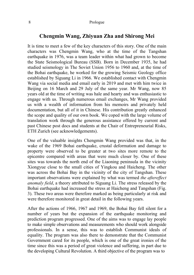### **Chengmin Wang, Zhiyuan Zha and Shirong Mei**

It is time to meet a few of the key characters of this story. One of the main characters was Chengmin Wang, who at the time of the Tangshan earthquake in 1976, was a team leader within what had grown to become the State Seismological Bureau (SSB). Born in December 1935, he had studied seismology in The Soviet Union 1956 to 1960 and, at the time of the Bohai earthquake, he worked for the growing Seismic Geology office established by Siguang Li in 1966. We established contact with Chengmin Wang via social media and email early in 2019 and met with him twice in Beijing on 16 March and 29 July of the same year. Mr Wang, now 85 years old at the time of writing was hale and hearty and was enthusiastic to engage with us. Through numerous email exchanges, Mr Wang provided us with a wealth of information from his memoirs and privately held documentation, but all of it in Chinese. His contribution greatly enhanced the scope and quality of our own book. We coped with the large volume of translation work through the generous assistance offered by current and past Chinese post docs and students at the Chair of Entrepreneurial Risks, ETH Zurich (see acknowledgements).

One of the valuable insights Chengmin Wang provided was that, in the wake of the 1969 Bohai earthquake, crustal deformation and damage to property were observed to be greater at two sites more remote to the epicentre compared with areas that were much closer by. One of these sites was towards the north end of the Liaoning peninsula in the vicinity Xiongyue close to the small cities of Yingkou and Haicheng. The other was across the Bohai Bay in the vicinity of the city of Tangshan. These important observations were explained by what was termed *the aftereffect anomaly field*, a theory attributed to Siguang Li. The stress released by the Bohai earthquake had increased the stress at Haicheng and Tangshan (Fig. 3). These two areas were therefore marked as being particularly at risk and were therefore monitored in great detail in the following years.

After the actions of 1966, 1967 and 1969, the Bohai Bay fell silent for a number of years but the expansion of the earthquake monitoring and prediction program progressed. One of the aims was to engage lay people to make simple observations and measurements who should work alongside professionals. In a sense, this was to establish Communist ideals of equality. The program was also there to demonstrate that the Communist Government cared for its people, which is one of the great ironies of the time since this was a period of great violence and suffering, in part due to the developing Cultural Revolution. A third objective of the program was to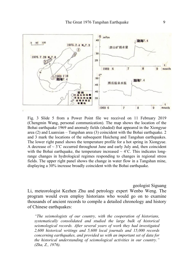

Fig. 3 Slide 5 from a Power Point file we received on 11 February 2019 (Chengmin Wang, personal communication). The map shows the location of the Bohai earthquake 1969 and anomaly fields (shaded) that appeared in the Xiongyue area  $(2)$  and Luanxian – Tangshan area  $(3)$  coincident with the Bohai earthquake. 2 and 3 mark the locations of the subsequent Haicheng and Tangshan earthquakes. The lower right panel shows the temperature profile for a hot spring in Xiongyue. A decrease of  $\sim 3^{\circ}$ C occurred throughout June and early July and, then coincident with the Bohai earthquake, the temperature increased  $\sim$  4°C. This indicates longrange changes in hydrological regimes responding to changes in regional stress fields. The upper right panel shows the change in water flow in a Tangshan mine, displaying a 30% increase broadly coincident with the Bohai earthquake.

geologist Siguang

Li, meteorologist Kezhen Zhu and petrology expert Wenbo Weng. The program would even employ historians who would go on to examine thousands of ancient records to compile a detailed chronology and history of Chinese earthquakes:

*"The seismologists of our country, with the cooperation of historians, systematically consolidated and studied the large bulk of historical seismological records. After several years of work they had investigated 2,600 historical writings and 5,600 local journals and 15,000 records concerning earthquakes, and provided us with an important set of data for the historical understanding of seismological activities in our country." (Zha, Z., 1976).*